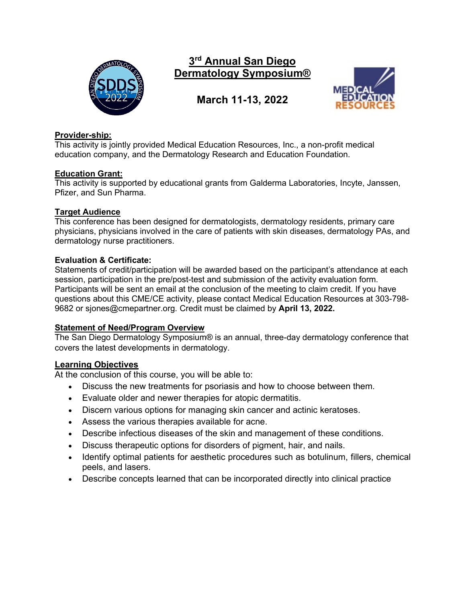

# **3rd Annual San Diego Dermatology Symposium®**

**March 11-13, 2022**



# **Provider-ship:**

This activity is jointly provided Medical Education Resources, Inc., a non-profit medical education company, and the Dermatology Research and Education Foundation.

# **Education Grant:**

This activity is supported by educational grants from Galderma Laboratories, Incyte, Janssen, Pfizer, and Sun Pharma.

# **Target Audience**

This conference has been designed for dermatologists, dermatology residents, primary care physicians, physicians involved in the care of patients with skin diseases, dermatology PAs, and dermatology nurse practitioners.

# **Evaluation & Certificate:**

Statements of credit/participation will be awarded based on the participant's attendance at each session, participation in the pre/post-test and submission of the activity evaluation form. Participants will be sent an email at the conclusion of the meeting to claim credit. If you have questions about this CME/CE activity, please contact Medical Education Resources at 303-798- 9682 or sjones@cmepartner.org. Credit must be claimed by **April 13, 2022.**

## **Statement of Need/Program Overview**

The San Diego Dermatology Symposium® is an annual, three-day dermatology conference that covers the latest developments in dermatology.

## **Learning Objectives**

At the conclusion of this course, you will be able to:

- Discuss the new treatments for psoriasis and how to choose between them.
- Evaluate older and newer therapies for atopic dermatitis.
- Discern various options for managing skin cancer and actinic keratoses.
- Assess the various therapies available for acne.
- Describe infectious diseases of the skin and management of these conditions.
- Discuss therapeutic options for disorders of pigment, hair, and nails.
- Identify optimal patients for aesthetic procedures such as botulinum, fillers, chemical peels, and lasers.
- Describe concepts learned that can be incorporated directly into clinical practice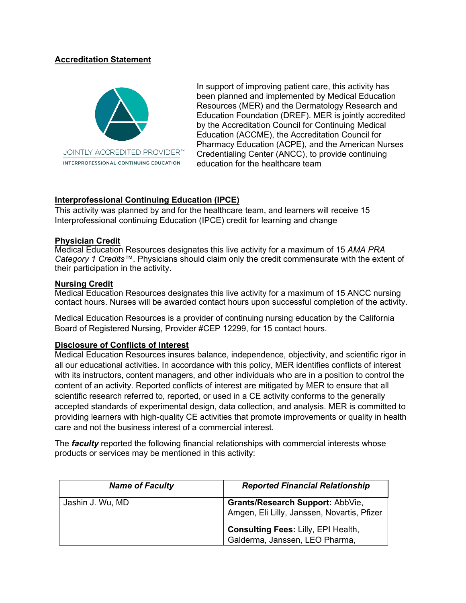# **Accreditation Statement**



In support of improving patient care, this activity has been planned and implemented by Medical Education Resources (MER) and the Dermatology Research and Education Foundation (DREF). MER is jointly accredited by the Accreditation Council for Continuing Medical Education (ACCME), the Accreditation Council for Pharmacy Education (ACPE), and the American Nurses Credentialing Center (ANCC), to provide continuing education for the healthcare team

## **Interprofessional Continuing Education (IPCE)**

This activity was planned by and for the healthcare team, and learners will receive 15 Interprofessional continuing Education (IPCE) credit for learning and change

#### **Physician Credit**

Medical Education Resources designates this live activity for a maximum of 15 *AMA PRA Category 1 Credits™*. Physicians should claim only the credit commensurate with the extent of their participation in the activity.

#### **Nursing Credit**

Medical Education Resources designates this live activity for a maximum of 15 ANCC nursing contact hours. Nurses will be awarded contact hours upon successful completion of the activity.

Medical Education Resources is a provider of continuing nursing education by the California Board of Registered Nursing, Provider #CEP 12299, for 15 contact hours.

#### **Disclosure of Conflicts of Interest**

Medical Education Resources insures balance, independence, objectivity, and scientific rigor in all our educational activities. In accordance with this policy, MER identifies conflicts of interest with its instructors, content managers, and other individuals who are in a position to control the content of an activity. Reported conflicts of interest are mitigated by MER to ensure that all scientific research referred to, reported, or used in a CE activity conforms to the generally accepted standards of experimental design, data collection, and analysis. MER is committed to providing learners with high-quality CE activities that promote improvements or quality in health care and not the business interest of a commercial interest.

The *faculty* reported the following financial relationships with commercial interests whose products or services may be mentioned in this activity:

| <b>Name of Faculty</b> | <b>Reported Financial Relationship</b>                                          |
|------------------------|---------------------------------------------------------------------------------|
| Jashin J. Wu, MD       | Grants/Research Support: AbbVie,<br>Amgen, Eli Lilly, Janssen, Novartis, Pfizer |
|                        | <b>Consulting Fees: Lilly, EPI Health,</b><br>Galderma, Janssen, LEO Pharma,    |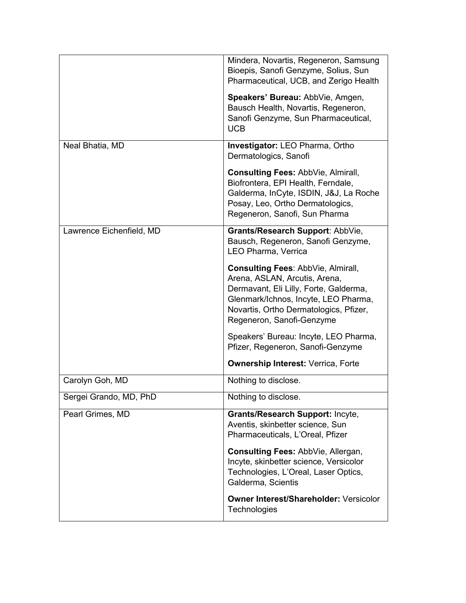|                          | Mindera, Novartis, Regeneron, Samsung<br>Bioepis, Sanofi Genzyme, Solius, Sun<br>Pharmaceutical, UCB, and Zerigo Health<br>Speakers' Bureau: AbbVie, Amgen,<br>Bausch Health, Novartis, Regeneron,<br>Sanofi Genzyme, Sun Pharmaceutical,<br><b>UCB</b> |
|--------------------------|---------------------------------------------------------------------------------------------------------------------------------------------------------------------------------------------------------------------------------------------------------|
| Neal Bhatia, MD          | <b>Investigator: LEO Pharma, Ortho</b><br>Dermatologics, Sanofi                                                                                                                                                                                         |
|                          | <b>Consulting Fees: AbbVie, Almirall,</b><br>Biofrontera, EPI Health, Ferndale,<br>Galderma, InCyte, ISDIN, J&J, La Roche<br>Posay, Leo, Ortho Dermatologics,<br>Regeneron, Sanofi, Sun Pharma                                                          |
| Lawrence Eichenfield, MD | Grants/Research Support: AbbVie,<br>Bausch, Regeneron, Sanofi Genzyme,<br>LEO Pharma, Verrica                                                                                                                                                           |
|                          | <b>Consulting Fees: AbbVie, Almirall,</b><br>Arena, ASLAN, Arcutis, Arena,<br>Dermavant, Eli Lilly, Forte, Galderma,<br>Glenmark/Ichnos, Incyte, LEO Pharma,<br>Novartis, Ortho Dermatologics, Pfizer,<br>Regeneron, Sanofi-Genzyme                     |
|                          | Speakers' Bureau: Incyte, LEO Pharma,<br>Pfizer, Regeneron, Sanofi-Genzyme                                                                                                                                                                              |
|                          | <b>Ownership Interest: Verrica, Forte</b>                                                                                                                                                                                                               |
| Carolyn Goh, MD          | Nothing to disclose.                                                                                                                                                                                                                                    |
| Sergei Grando, MD, PhD   | Nothing to disclose.                                                                                                                                                                                                                                    |
| Pearl Grimes, MD         | <b>Grants/Research Support: Incyte,</b><br>Aventis, skinbetter science, Sun<br>Pharmaceuticals, L'Oreal, Pfizer                                                                                                                                         |
|                          | Consulting Fees: AbbVie, Allergan,<br>Incyte, skinbetter science, Versicolor<br>Technologies, L'Oreal, Laser Optics,<br>Galderma, Scientis                                                                                                              |
|                          | <b>Owner Interest/Shareholder: Versicolor</b><br>Technologies                                                                                                                                                                                           |